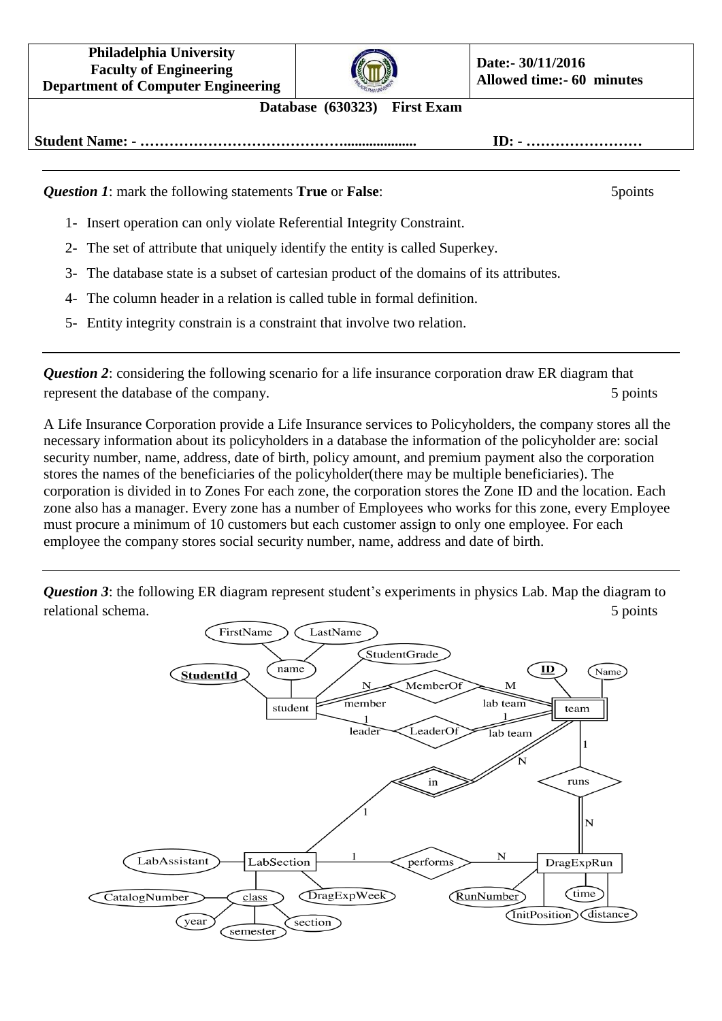**Philadelphia University Faculty of Engineering Department of Computer Engineering**



## **Database (630323) First Exam**

**Student Name: - …………………………………….................... ID: - ……………………**

*Question 1***:** mark the following statements **True** or **False**: 5points

- 1- Insert operation can only violate Referential Integrity Constraint.
- 2- The set of attribute that uniquely identify the entity is called Superkey.
- 3- The database state is a subset of cartesian product of the domains of its attributes.
- 4- The column header in a relation is called tuble in formal definition.
- 5- Entity integrity constrain is a constraint that involve two relation.

*Question 2*: considering the following scenario for a life insurance corporation draw ER diagram that represent the database of the company. 5 points 5 points

A Life Insurance Corporation provide a Life Insurance services to Policyholders, the company stores all the necessary information about its policyholders in a database the information of the policyholder are: social security number, name, address, date of birth, policy amount, and premium payment also the corporation stores the names of the beneficiaries of the policyholder(there may be multiple beneficiaries). The corporation is divided in to Zones For each zone, the corporation stores the Zone ID and the location. Each zone also has a manager. Every zone has a number of Employees who works for this zone, every Employee must procure a minimum of 10 customers but each customer assign to only one employee. For each employee the company stores social security number, name, address and date of birth.

*Question 3*: the following ER diagram represent student's experiments in physics Lab. Map the diagram to relational schema. 5 5 points